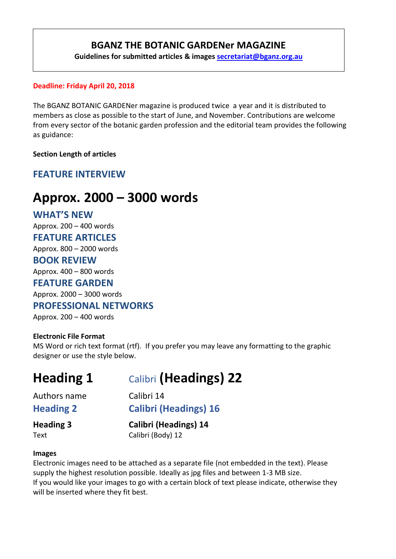# **BGANZ THE BOTANIC GARDENer MAGAZINE**

**Guidelines for submitted articles & images [secretariat@bganz.org.au](mailto:secretariat@bganz.org.au)**

### **Deadline: Friday April 20, 2018**

The BGANZ BOTANIC GARDENer magazine is produced twice a year and it is distributed to members as close as possible to the start of June, and November. Contributions are welcome from every sector of the botanic garden profession and the editorial team provides the following as guidance:

**Section Length of articles**

# **FEATURE INTERVIEW**

# **Approx. 2000 – 3000 words**

# **WHAT'S NEW**

Approx. 200 – 400 words

### **FEATURE ARTICLES**

Approx. 800 – 2000 words

### **BOOK REVIEW**

Approx. 400 – 800 words

### **FEATURE GARDEN**

Approx. 2000 – 3000 words

# **PROFESSIONAL NETWORKS**

Approx. 200 – 400 words

### **Electronic File Format**

MS Word or rich text format (rtf). If you prefer you may leave any formatting to the graphic designer or use the style below.

# **Heading 1** Calibri **(Headings) 22**

Authors name Calibri 14

**Heading 2 Calibri (Headings) 16**

**Heading 3 Calibri (Headings) 14** Text Calibri (Body) 12

### **Images**

Electronic images need to be attached as a separate file (not embedded in the text). Please supply the highest resolution possible. Ideally as jpg files and between 1-3 MB size. If you would like your images to go with a certain block of text please indicate, otherwise they will be inserted where they fit best.